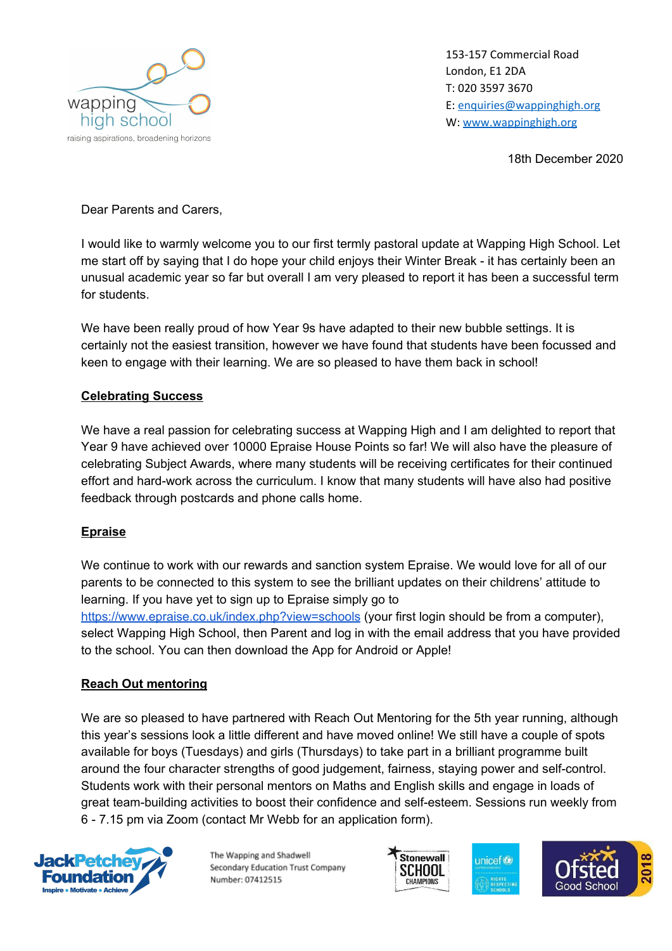

153-157 Commercial Road London, E1 2DA T: 020 3597 3670 E: [enquiries@wappinghigh.org](mailto:enquiries@wappinghigh.org) W: [www.wappinghigh.org](http://www.wappinghigh.org/)

18th December 2020

Dear Parents and Carers,

I would like to warmly welcome you to our first termly pastoral update at Wapping High School. Let me start off by saying that I do hope your child enjoys their Winter Break - it has certainly been an unusual academic year so far but overall I am very pleased to report it has been a successful term for students.

We have been really proud of how Year 9s have adapted to their new bubble settings. It is certainly not the easiest transition, however we have found that students have been focussed and keen to engage with their learning. We are so pleased to have them back in school!

## **Celebrating Success**

We have a real passion for celebrating success at Wapping High and I am delighted to report that Year 9 have achieved over 10000 Epraise House Points so far! We will also have the pleasure of celebrating Subject Awards, where many students will be receiving certificates for their continued effort and hard-work across the curriculum. I know that many students will have also had positive feedback through postcards and phone calls home.

## **Epraise**

We continue to work with our rewards and sanction system Epraise. We would love for all of our parents to be connected to this system to see the brilliant updates on their childrens' attitude to learning. If you have yet to sign up to Epraise simply go to <https://www.epraise.co.uk/index.php?view=schools> (your first login should be from a computer), select Wapping High School, then Parent and log in with the email address that you have provided to the school. You can then download the App for Android or Apple!

## **Reach Out mentoring**

We are so pleased to have partnered with Reach Out Mentoring for the 5th year running, although this year's sessions look a little different and have moved online! We still have a couple of spots available for boys (Tuesdays) and girls (Thursdays) to take part in a brilliant programme built around the four character strengths of good judgement, fairness, staying power and self-control. Students work with their personal mentors on Maths and English skills and engage in loads of great team-building activities to boost their confidence and self-esteem. Sessions run weekly from 6 - 7.15 pm via Zoom (contact Mr Webb for an application form).



The Wapping and Shadwell Secondary Education Trust Company Number: 07412515